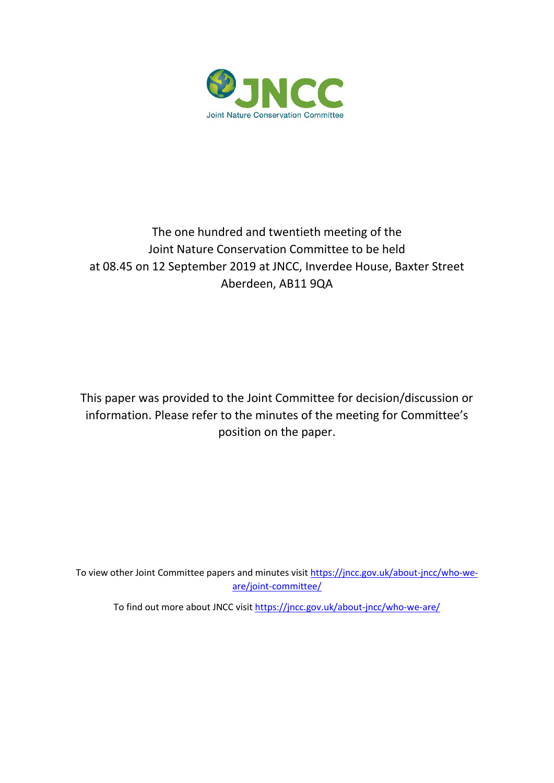

## The one hundred and twentieth meeting of the Joint Nature Conservation Committee to be held at 08.45 on 12 September 2019 at JNCC, Inverdee House, Baxter Street Aberdeen, AB11 9QA

This paper was provided to the Joint Committee for decision/discussion or information. Please refer to the minutes of the meeting for Committee's position on the paper.

To view other Joint Committee papers and minutes visi[t https://jncc.gov.uk/about-jncc/who-we](https://jncc.gov.uk/about-jncc/who-we-are/joint-committee/)[are/joint-committee/](https://jncc.gov.uk/about-jncc/who-we-are/joint-committee/)

To find out more about JNCC visit<https://jncc.gov.uk/about-jncc/who-we-are/>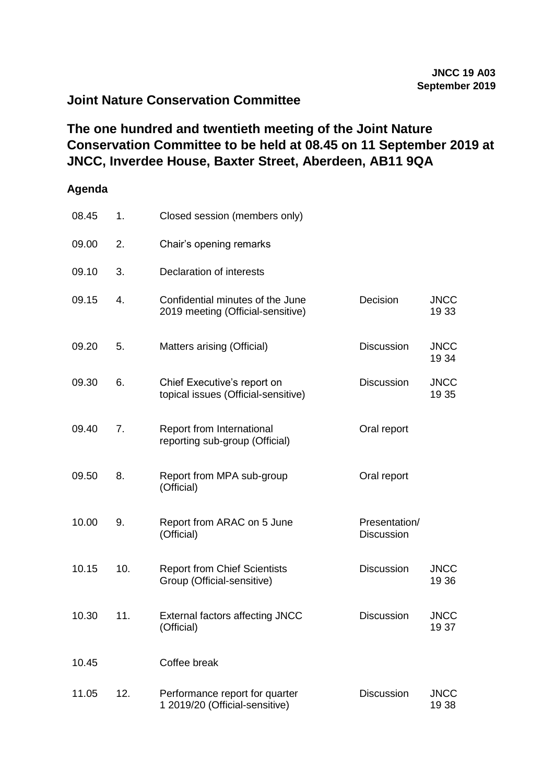## **Joint Nature Conservation Committee**

## **The one hundred and twentieth meeting of the Joint Nature Conservation Committee to be held at 08.45 on 11 September 2019 at JNCC, Inverdee House, Baxter Street, Aberdeen, AB11 9QA**

## **Agenda**

| 08.45 | 1.  | Closed session (members only)                                         |                             |                      |
|-------|-----|-----------------------------------------------------------------------|-----------------------------|----------------------|
| 09.00 | 2.  | Chair's opening remarks                                               |                             |                      |
| 09.10 | 3.  | Declaration of interests                                              |                             |                      |
| 09.15 | 4.  | Confidential minutes of the June<br>2019 meeting (Official-sensitive) | Decision                    | <b>JNCC</b><br>19 33 |
| 09.20 | 5.  | Matters arising (Official)                                            | <b>Discussion</b>           | <b>JNCC</b><br>19 34 |
| 09.30 | 6.  | Chief Executive's report on<br>topical issues (Official-sensitive)    | <b>Discussion</b>           | <b>JNCC</b><br>19 35 |
| 09.40 | 7.  | Report from International<br>reporting sub-group (Official)           | Oral report                 |                      |
| 09.50 | 8.  | Report from MPA sub-group<br>(Official)                               | Oral report                 |                      |
| 10.00 | 9.  | Report from ARAC on 5 June<br>(Official)                              | Presentation/<br>Discussion |                      |
| 10.15 | 10. | <b>Report from Chief Scientists</b><br>Group (Official-sensitive)     | <b>Discussion</b>           | <b>JNCC</b><br>19 36 |
| 10.30 | 11. | <b>External factors affecting JNCC</b><br>(Official)                  | <b>Discussion</b>           | <b>JNCC</b><br>1937  |
| 10.45 |     | Coffee break                                                          |                             |                      |
| 11.05 | 12. | Performance report for quarter<br>1 2019/20 (Official-sensitive)      | <b>Discussion</b>           | <b>JNCC</b><br>1938  |